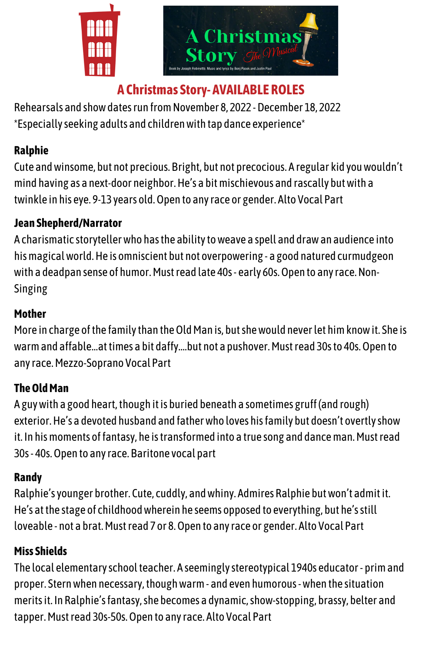

# **A Christmas Story- AVAILABLE ROLES**

Rehearsals and showdatesrun fromNovember 8, 2022 -December 18, 2022 \*Especiallyseeking adults and childrenwith tap dance experience\*

### **Ralphie**

Cute andwinsome, but not precious. Bright, but not precocious. A regular kid youwouldn't mind having as a next-door neighbor.He's a bitmischievous and rascally butwith a twinkle in his eye. 9-13 years old.Open to anyrace or gender. Alto Vocal Part

### **Jean Shepherd/Narrator**

A charismatic storytellerwho hasthe abilitytoweave a spell and drawan audience into hismagicalworld.He is omniscient but not overpowering -a good natured curmudgeon with a deadpan sense of humor. Must read late 40s - early 60s. Open to any race. Non-Singing

#### **Mother**

More in charge of the family than the Old Man is, but she would never let him know it. She is warm and affable...at times a bit daffy....but not a pushover. Must read 30s to 40s. Open to anyrace.Mezzo-Soprano Vocal Part

# **TheOldMan**

A guy with a good heart, though it is buried beneath a sometimes gruff (and rough) exterior.He's a devoted husband and fatherwho loves hisfamily but doesn't overtlyshow it. In his moments of fantasy, he is transformed into a true song and dance man. Must read 30s- 40s.Open to anyrace. Baritone vocal part

## **Randy**

Ralphie'syounger brother. Cute, cuddly, andwhiny. Admires Ralphie butwon't admitit. He's at the stage of childhoodwherein he seems opposed to everything, but he'sstill loveable - not a brat. Must read 7 or 8. Open to any race or gender. Alto Vocal Part

## **Miss Shields**

The local elementary school teacher. A seemingly stereotypical 1940s educator - prim and proper. Sternwhen necessary,thoughwarm- and even humorous-when the situation meritsit. In Ralphie'sfantasy,she becomes a dynamic,show-stopping, brassy, belter and tapper.Must read 30s-50s.Open to anyrace. Alto Vocal Part